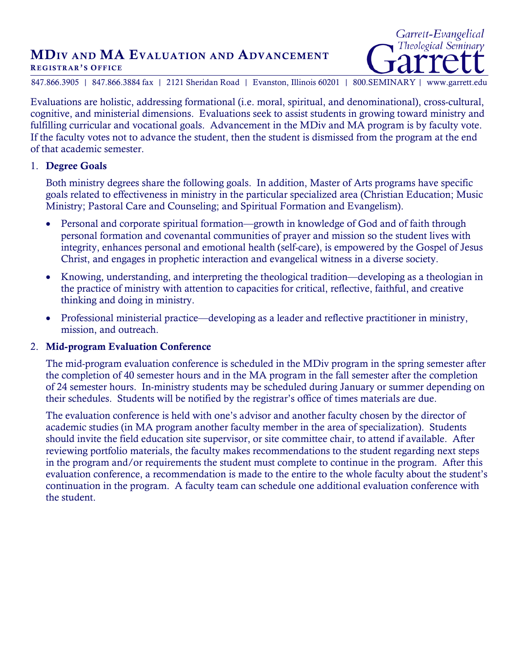# MDIV AND MA EVALUATION AND ADVANCEMENT

#### REGISTRAR'S OFFICE

847.866.3905 | 847.866.3884 fax | 2121 Sheridan Road | Evanston, Illinois 60201 | 800.SEMINARY | www.garrett.edu

Garrett-Evangelical Theological Seminary

Evaluations are holistic, addressing formational (i.e. moral, spiritual, and denominational), cross-cultural, cognitive, and ministerial dimensions. Evaluations seek to assist students in growing toward ministry and fulfilling curricular and vocational goals. Advancement in the MDiv and MA program is by faculty vote. If the faculty votes not to advance the student, then the student is dismissed from the program at the end of that academic semester.

#### 1. Degree Goals

Both ministry degrees share the following goals. In addition, Master of Arts programs have specific goals related to effectiveness in ministry in the particular specialized area (Christian Education; Music Ministry; Pastoral Care and Counseling; and Spiritual Formation and Evangelism).

- Personal and corporate spiritual formation—growth in knowledge of God and of faith through personal formation and covenantal communities of prayer and mission so the student lives with integrity, enhances personal and emotional health (self-care), is empowered by the Gospel of Jesus Christ, and engages in prophetic interaction and evangelical witness in a diverse society.
- Knowing, understanding, and interpreting the theological tradition—developing as a theologian in the practice of ministry with attention to capacities for critical, reflective, faithful, and creative thinking and doing in ministry.
- Professional ministerial practice—developing as a leader and reflective practitioner in ministry, mission, and outreach.

# 2. Mid-program Evaluation Conference

The mid-program evaluation conference is scheduled in the MDiv program in the spring semester after the completion of 40 semester hours and in the MA program in the fall semester after the completion of 24 semester hours. In-ministry students may be scheduled during January or summer depending on their schedules. Students will be notified by the registrar's office of times materials are due.

The evaluation conference is held with one's advisor and another faculty chosen by the director of academic studies (in MA program another faculty member in the area of specialization). Students should invite the field education site supervisor, or site committee chair, to attend if available. After reviewing portfolio materials, the faculty makes recommendations to the student regarding next steps in the program and/or requirements the student must complete to continue in the program. After this evaluation conference, a recommendation is made to the entire to the whole faculty about the student's continuation in the program. A faculty team can schedule one additional evaluation conference with the student.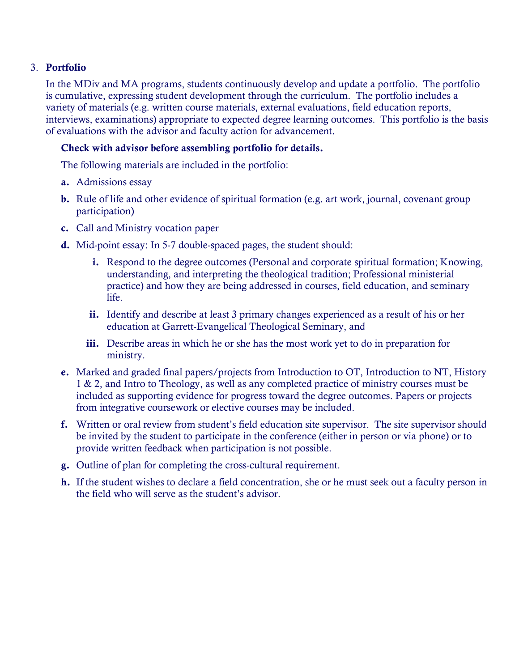# 3. Portfolio

In the MDiv and MA programs, students continuously develop and update a portfolio. The portfolio is cumulative, expressing student development through the curriculum. The portfolio includes a variety of materials (e.g. written course materials, external evaluations, field education reports, interviews, examinations) appropriate to expected degree learning outcomes. This portfolio is the basis of evaluations with the advisor and faculty action for advancement.

# Check with advisor before assembling portfolio for details.

The following materials are included in the portfolio:

- a. Admissions essay
- b. Rule of life and other evidence of spiritual formation (e.g. art work, journal, covenant group participation)
- c. Call and Ministry vocation paper
- d. Mid-point essay: In 5-7 double-spaced pages, the student should:
	- i. Respond to the degree outcomes (Personal and corporate spiritual formation; Knowing, understanding, and interpreting the theological tradition; Professional ministerial practice) and how they are being addressed in courses, field education, and seminary life.
	- ii. Identify and describe at least 3 primary changes experienced as a result of his or her education at Garrett-Evangelical Theological Seminary, and
	- iii. Describe areas in which he or she has the most work yet to do in preparation for ministry.
- e. Marked and graded final papers/projects from Introduction to OT, Introduction to NT, History 1 & 2, and Intro to Theology, as well as any completed practice of ministry courses must be included as supporting evidence for progress toward the degree outcomes. Papers or projects from integrative coursework or elective courses may be included.
- f. Written or oral review from student's field education site supervisor. The site supervisor should be invited by the student to participate in the conference (either in person or via phone) or to provide written feedback when participation is not possible.
- g. Outline of plan for completing the cross-cultural requirement.
- h. If the student wishes to declare a field concentration, she or he must seek out a faculty person in the field who will serve as the student's advisor.